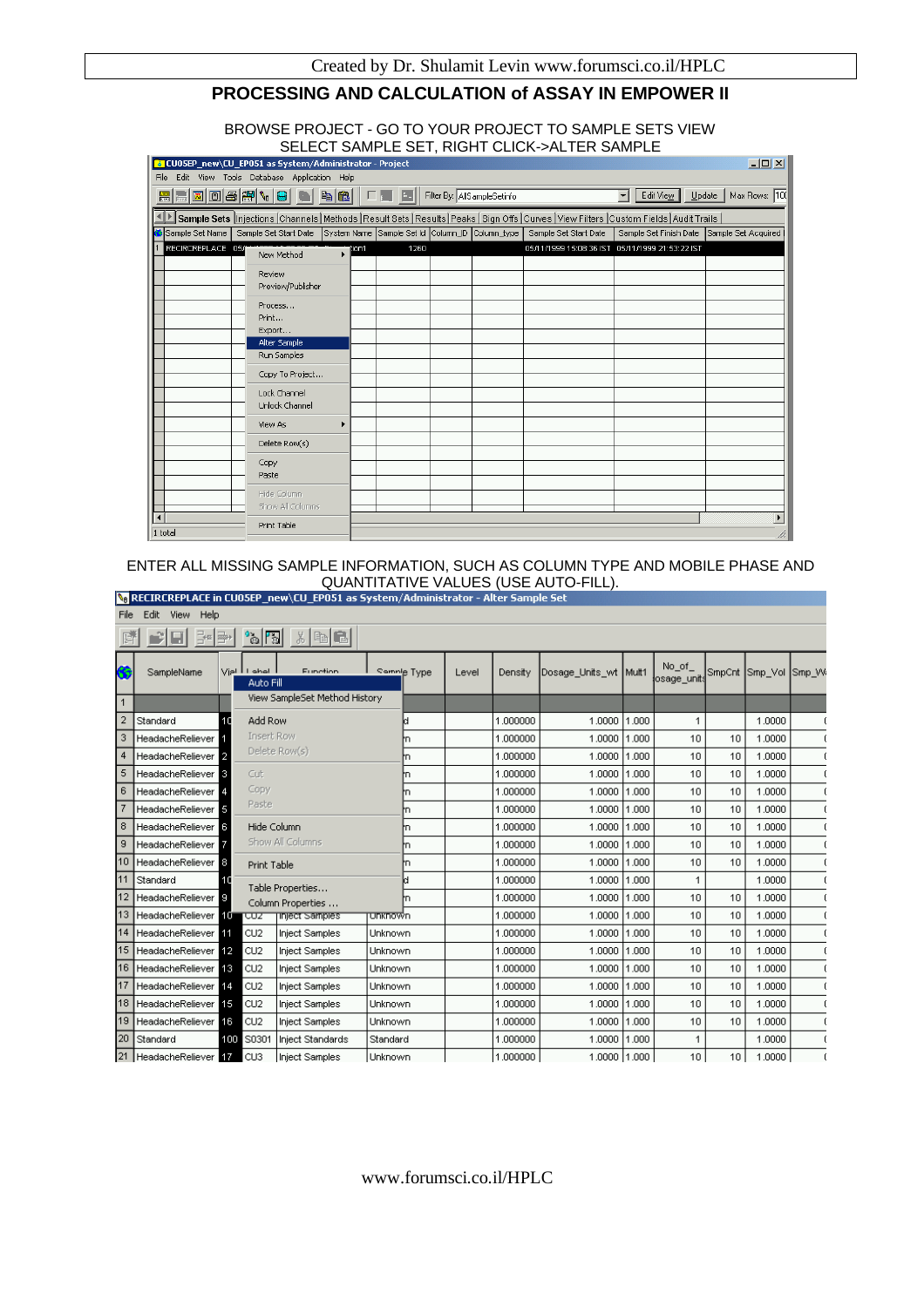# **PROCESSING AND CALCULATION of ASSAY IN EMPOWER II**

#### BROWSE PROJECT - GO TO YOUR PROJECT TO SAMPLE SETS VIEW SELECT SAMPLE SET, RIGHT CLICK->ALTER SAMPLE

|                                     | 2 CU05EP_new\CU_EP051 as System/Administrator - Project                                                                                        |       |      |                             |                                                                       |                                                 | $\Box$ D $\Box$          |
|-------------------------------------|------------------------------------------------------------------------------------------------------------------------------------------------|-------|------|-----------------------------|-----------------------------------------------------------------------|-------------------------------------------------|--------------------------|
| File                                | Edit View Tools Database Application Help                                                                                                      |       |      |                             |                                                                       |                                                 |                          |
|                                     | e ti <mark>is e diversionen</mark> e                                                                                                           |       |      | Filter By: AllSampleSetinfo |                                                                       | Edit View<br>▾                                  | Max Rows:  100<br>Update |
|                                     | Sample Sets  Injections  Channels   Methods   Result Sets   Results   Peaks   Sign Offs   Curves   View Filters   Custom Fields   Audit Trails |       |      |                             |                                                                       |                                                 |                          |
| <mark>&lt;</mark> Sample Set Name I | Sample Set Start Date                                                                                                                          |       |      |                             | System Name Sample Set Id Column_ID Column_type Sample Set Start Date | Sample Set Finish Date                          | Sample Set Acquired      |
| RECIRCREPLACE 05/                   | New Method                                                                                                                                     | fion1 | 1260 |                             |                                                                       | 05/11/1999 15:08:36 IST 05/11/1999 21:53:22 IST |                          |
|                                     | Review                                                                                                                                         |       |      |                             |                                                                       |                                                 |                          |
|                                     | Preview/Publisher                                                                                                                              |       |      |                             |                                                                       |                                                 |                          |
|                                     | Process                                                                                                                                        |       |      |                             |                                                                       |                                                 |                          |
|                                     | Print                                                                                                                                          |       |      |                             |                                                                       |                                                 |                          |
|                                     | Export                                                                                                                                         |       |      |                             |                                                                       |                                                 |                          |
|                                     | Alter Sample                                                                                                                                   |       |      |                             |                                                                       |                                                 |                          |
|                                     | Run Samples                                                                                                                                    |       |      |                             |                                                                       |                                                 |                          |
|                                     | Copy To Project                                                                                                                                |       |      |                             |                                                                       |                                                 |                          |
|                                     | Lock Channel                                                                                                                                   |       |      |                             |                                                                       |                                                 |                          |
|                                     | Unlock Channel                                                                                                                                 |       |      |                             |                                                                       |                                                 |                          |
|                                     | View As                                                                                                                                        |       |      |                             |                                                                       |                                                 |                          |
|                                     | Delete Row(s)                                                                                                                                  |       |      |                             |                                                                       |                                                 |                          |
|                                     | Copy                                                                                                                                           |       |      |                             |                                                                       |                                                 |                          |
|                                     | Paste                                                                                                                                          |       |      |                             |                                                                       |                                                 |                          |
|                                     | Hide Column                                                                                                                                    |       |      |                             |                                                                       |                                                 |                          |
|                                     | Show All Columns                                                                                                                               |       |      |                             |                                                                       |                                                 |                          |
| $\blacktriangleleft$                | Print Table                                                                                                                                    |       |      |                             |                                                                       |                                                 |                          |
| 1 total                             |                                                                                                                                                |       |      |                             |                                                                       |                                                 |                          |

# ENTER ALL MISSING SAMPLE INFORMATION, SUCH AS COLUMN TYPE AND MOBILE PHASE AND QUANTITATIVE VALUES (USE AUTO-FILL).<br>QUANTITATIVE VALUES (USE AUTO-FILL).

| File         | Edit View<br>Help              |      |                           | Then learn as a strengthenimiscrator three semble see  |                |       |          |                       |       |                       |        |         |       |
|--------------|--------------------------------|------|---------------------------|--------------------------------------------------------|----------------|-------|----------|-----------------------|-------|-----------------------|--------|---------|-------|
|              | Belak                          |      |                           | $\mathbb{Z}[\mathbb{Z}]\times[\mathbb{Z}][\mathbb{Z}]$ |                |       |          |                       |       |                       |        |         |       |
|              | SampleName                     |      | Vial LI abal<br>Auto Fill | Eunetion                                               | Sample Type    | Level | Density  | Dosage_Units_wt Mult1 |       | No_of_<br>osage_units | SmpCnt | Smp Vol | Smp W |
| $\mathbf{1}$ |                                |      |                           | View SampleSet Method History                          |                |       |          |                       |       |                       |        |         |       |
|              | Standard                       | 10   | Add Row                   |                                                        |                |       | 1.000000 | 1.0000                | 1.000 | 1                     |        | 1.0000  |       |
| 3            | <b>HeadacheReliever</b>        |      | Insert Row                |                                                        | m              |       | 1.000000 | 1,0000                | 1.000 | 10                    | 10     | 1.0000  |       |
| 4            | <b>HeadacheReliever</b>        | -2   |                           | Delete Row(s)                                          | 'n             |       | 1.000000 | 1,0000                | 1.000 | 10                    | 10     | 1,0000  |       |
| 5            | <b>HeadacheReliever</b>        | 13.  | Cut                       |                                                        | 'n             |       | 1.000000 | 1.0000                | 1.000 | 10                    | 10     | 1.0000  |       |
| 6            | HeadacheReliever               |      | Copy                      |                                                        |                |       | 1.000000 | 1.0000                | 1.000 | 10                    | 10     | 1.0000  |       |
|              | <b>HeadacheReliever</b>        | 15   | Paste                     |                                                        | m              |       | 1.000000 | 1.0000                | 1.000 | 10                    | 10     | 1,0000  |       |
| 8            | HeadacheReliever               | 6.   | Hide Column               |                                                        | 'n             |       | 1.000000 | 1,0000                | 1.000 | 10                    | 10     | 1.0000  |       |
| 9            | HeadacheReliever               |      |                           | Show All Columns                                       | m              |       | 1.000000 | 1,0000                | 1.000 | 10                    | 10     | 1,0000  |       |
| 10           | HeadacheReliever               | 18.  | Print Table               |                                                        | m              |       | 1.000000 | 1,0000                | 1.000 | 10                    | 10     | 1.0000  |       |
| 11           | Standard                       |      |                           | Table Properties                                       |                |       | 1.000000 | 1.0000                | 1,000 |                       |        | 1.0000  |       |
| 12           | <b>HeadacheReliever</b>        |      |                           | Column Properties                                      | 'n             |       | 1.000000 | 1,0000                | 1.000 | 10                    | 10     | 1.0000  |       |
| 13           | <b>HeadacheReliever</b>        | -107 | ᠸ᠍ᢆᢆᢆᢧᢧ                   | inject samples                                         | <b>Unknown</b> |       | 1.000000 | 1.0000                | 1.000 | 10                    | 10     | 1.0000  |       |
| 14           | HeadacheReliever <sup>11</sup> |      | CU <sub>2</sub>           | <b>Inject Samples</b>                                  | Unknown        |       | 1.000000 | 1.0000                | 1.000 | 10                    | 10     | 1.0000  |       |
| 15           | HeadacheReliever <sup>12</sup> |      | CU <sub>2</sub>           | <b>Inject Samples</b>                                  | Unknown        |       | 1.000000 | 1.0000                | 1.000 | 10                    | 10     | 1.0000  |       |
| 16           | HeadacheReliever <b>FIR</b>    |      | CU <sub>2</sub>           | Inject Samples                                         | Unknown        |       | 1.000000 | 1,0000                | 1.000 | 10                    | 10     | 1,0000  |       |
| 17           | HeadacheReliever               | 14   | CU <sub>2</sub>           | <b>Inject Samples</b>                                  | Unknown        |       | 1.000000 | 1,0000                | 1.000 | 10                    | 10     | 1,0000  |       |
| 18           | HeadacheReliever <sup>15</sup> |      | CU2                       | <b>Inject Samples</b>                                  | Unknown        |       | 1.000000 | 1.0000                | 1,000 | 10                    | 10     | 1,0000  |       |
| 19           | <b>HeadacheReliever</b>        | 16   | CU <sub>2</sub>           | <b>Inject Samples</b>                                  | <b>Unknown</b> |       | 1.000000 | 1,0000                | 1.000 | 10                    | 10     | 1.0000  |       |
| 20           | Standard                       | 100  | S0301                     | Inject Standards                                       | Standard       |       | 1.000000 | 1,0000                | 1.000 |                       |        | 1.0000  |       |
| 121          | <b>HeadacheReliever</b>        |      | CU <sub>3</sub>           | <b>Inject Samples</b>                                  | Unknown        |       | 1.000000 | 1.0000 1.000          |       | 10                    | 10     | 1.0000  |       |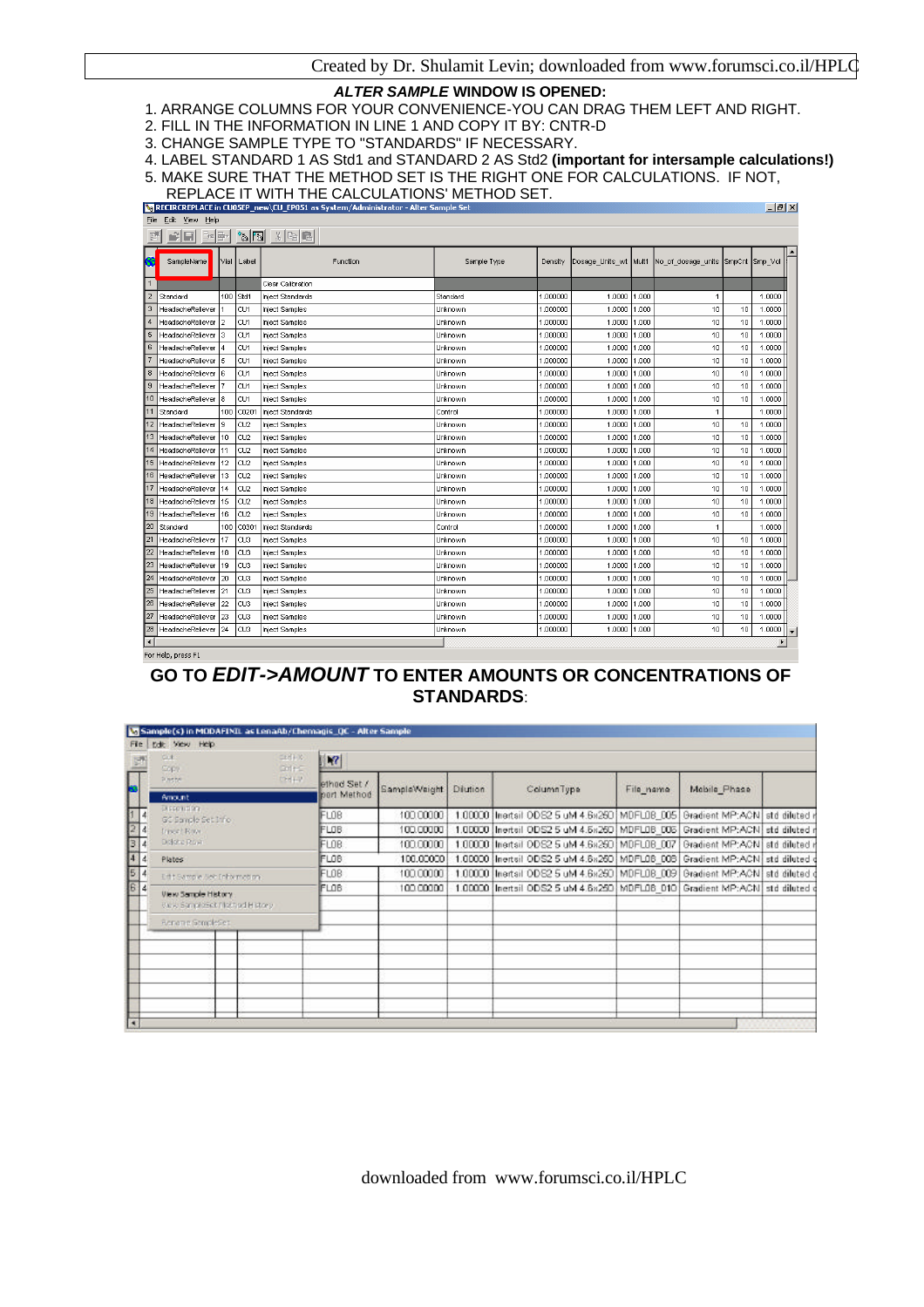$|A|$   $x|$ 

#### *ALTER SAMPLE* **WINDOW IS OPENED:**

- 1. ARRANGE COLUMNS FOR YOUR CONVENIENCE-YOU CAN DRAG THEM LEFT AND RIGHT.
- 2. FILL IN THE INFORMATION IN LINE 1 AND COPY IT BY: CNTR-D
- 3. CHANGE SAMPLE TYPE TO "STANDARDS" IF NECESSARY.

4. LABEL STANDARD 1 AS Std1 and STANDARD 2 AS Std2 **(important for intersample calculations!)**

- 5. MAKE SURE THAT THE METHOD SET IS THE RIGHT ONE FOR CALCULATIONS. IF NOT,
- REPLACE IT WITH THE CALCULATIONS' METHOD SET.

| File                 | Edit View Help      |                |                 |                                                                                                                                                                                                                                                                                                                                                     |             |          |                       |       |                                   |    |        |                       |
|----------------------|---------------------|----------------|-----------------|-----------------------------------------------------------------------------------------------------------------------------------------------------------------------------------------------------------------------------------------------------------------------------------------------------------------------------------------------------|-------------|----------|-----------------------|-------|-----------------------------------|----|--------|-----------------------|
|                      |                     |                |                 | $\begin{picture}(180,10) \put(0,0){\line(1,0){10}} \put(10,0){\line(1,0){10}} \put(10,0){\line(1,0){10}} \put(10,0){\line(1,0){10}} \put(10,0){\line(1,0){10}} \put(10,0){\line(1,0){10}} \put(10,0){\line(1,0){10}} \put(10,0){\line(1,0){10}} \put(10,0){\line(1,0){10}} \put(10,0){\line(1,0){10}} \put(10,0){\line(1,0){10}} \put(10,0){\line($ |             |          |                       |       |                                   |    |        |                       |
|                      | SampleName          | Vial           | Label           | Function                                                                                                                                                                                                                                                                                                                                            | Sample Type | Density  | Dosage_Units_wt Mult1 |       | No_of_dosage_units SmpCnt Smp_Vol |    |        |                       |
|                      |                     |                |                 | Clear Calibration                                                                                                                                                                                                                                                                                                                                   |             |          |                       |       |                                   |    |        |                       |
| $\overline{2}$       | Standard            |                | 100 Std1        | Inject Standards                                                                                                                                                                                                                                                                                                                                    | Standard    | 1.000000 | 1.0000                | 1.000 | $\mathbf{1}$                      |    | 1.0000 |                       |
| 3                    | HeadacheReliever    |                | CU <sub>1</sub> | Inject Samples                                                                                                                                                                                                                                                                                                                                      | Unknown     | 1.000000 | 1,0000                | 1.000 | 10                                | 10 | 1,0000 |                       |
|                      | HeadacheReliever    | $\overline{2}$ | CU1             | Inject Samples                                                                                                                                                                                                                                                                                                                                      | Unknown     | 1.000000 | 1,0000                | 1.000 | 10                                | 10 | 1.0000 |                       |
| 5                    | HeadacheReliever    | 3              | CU1             | Inject Samples                                                                                                                                                                                                                                                                                                                                      | Unknown     | 1.000000 | 1.0000                | 1.000 | 10                                | 10 | 1,0000 |                       |
| 6                    | HeadacheReliever    | 4              | CU <sub>1</sub> | Inject Samples                                                                                                                                                                                                                                                                                                                                      | Unknown     | 1.000000 | 1,0000                | 1.000 | 10                                | 10 | 1,0000 |                       |
|                      | HeadacheReliever    | l5             | CU <sub>1</sub> | <b>Inject Samples</b>                                                                                                                                                                                                                                                                                                                               | Unknown     | 1.000000 | 1,0000                | 1.000 | 10                                | 10 | 1.0000 |                       |
| 8                    | HeadacheReliever    | l6             | CU <sub>1</sub> | Inject Samples                                                                                                                                                                                                                                                                                                                                      | Unknown     | 1.000000 | 1.0000                | 1.000 | 10                                | 10 | 1.0000 |                       |
| 9                    | HeadacheReliever    |                | CU <sub>1</sub> | Inject Samples                                                                                                                                                                                                                                                                                                                                      | Unknown     | 1.000000 | 1,0000                | 1.000 | 10                                | 10 | 1,0000 |                       |
|                      | HeadacheReliever    | 8              | CU <sub>1</sub> | <b>Inject Samples</b>                                                                                                                                                                                                                                                                                                                               | Unknown     | 1.000000 | 1.0000                | 1.000 | 10                                | 10 | 1.0000 |                       |
|                      | Standard            | 100            | C020            | Inject Standards                                                                                                                                                                                                                                                                                                                                    | Control     | 1.000000 | 1.0000                | 1.000 | $\overline{1}$                    |    | 1,0000 |                       |
| 12.                  | HeadacheReliever    | l9.            | CU <sub>2</sub> | Inject Samples                                                                                                                                                                                                                                                                                                                                      | Unknown     | 1.000000 | 1.0000                | 1.000 | 10                                | 10 | 1.0000 |                       |
|                      | 13 HeadacheReliever | 10             | CU <sub>2</sub> | <b>Inject Samples</b>                                                                                                                                                                                                                                                                                                                               | Unknown     | 1.000000 | 1.0000                | 1.000 | 10                                | 10 | 1.0000 |                       |
| 14                   | HeadacheReliever    | 11             | CU <sub>2</sub> | Inject Samples                                                                                                                                                                                                                                                                                                                                      | Unknown     | 1.000000 | 1.0000                | 1.000 | 10                                | 10 | 1.0000 |                       |
| 15                   | HeadacheReliever    | 12             | CU2             | Inject Samples                                                                                                                                                                                                                                                                                                                                      | Unknown     | 1.000000 | 1.0000                | 1.000 | 10                                | 10 | 1.0000 |                       |
| 16                   | HeadacheReliever    | 13             | CU <sub>2</sub> | Inject Samples                                                                                                                                                                                                                                                                                                                                      | Unknown     | 1.000000 | 1.0000                | 1.000 | 10                                | 10 | 1.0000 |                       |
|                      | HeadacheReliever    | 14             | CU <sub>2</sub> | Inject Samples                                                                                                                                                                                                                                                                                                                                      | Unknown     | 1.000000 | 1.0000                | 1.000 | 10                                | 10 | 1.0000 |                       |
| 18                   | HeadacheReliever    | 15             | CU <sub>2</sub> | Inject Samples                                                                                                                                                                                                                                                                                                                                      | Unknown     | 1.000000 | 1.0000                | 1.000 | 10                                | 10 | 1,0000 |                       |
| 19.                  | HeadacheReliever    | 16             | CU <sub>2</sub> | Inject Samples                                                                                                                                                                                                                                                                                                                                      | Unknown     | 1.000000 | 1,0000                | 1.000 | 10                                | 10 | 1,0000 |                       |
| 20                   | Standard            |                | 100 C030        | Iniect Standards                                                                                                                                                                                                                                                                                                                                    | Control     | 1.000000 | 1,0000                | 1.000 | $\mathbf{1}$                      |    | 1,0000 |                       |
| 21                   | HeadacheReliever    | 17             | CU <sub>3</sub> | Inject Samples                                                                                                                                                                                                                                                                                                                                      | Unknown     | 1.000000 | 1,0000                | 1.000 | 10                                | 10 | 1,0000 |                       |
| 22                   | HeadacheReliever    | 18             | CU <sub>3</sub> | Inject Samples                                                                                                                                                                                                                                                                                                                                      | Unknown     | 1.000000 | 1,0000                | 1.000 | 10                                | 10 | 1,0000 |                       |
| 23                   | HeadacheReliever    | 19             | CU <sub>3</sub> | Inject Samples                                                                                                                                                                                                                                                                                                                                      | Unknown     | 1.000000 | 1,0000                | 1.000 | 10                                | 10 | 1.0000 |                       |
| 24                   | HeadacheReliever    | 20             | CU3             | Inject Samples                                                                                                                                                                                                                                                                                                                                      | Unknown     | 1.000000 | 1,0000                | 1.000 | 10                                | 10 | 1.0000 |                       |
| 25                   | HeadacheReliever    | 21             | CU <sub>3</sub> | <b>Inject Samples</b>                                                                                                                                                                                                                                                                                                                               | Unknown     | 1.000000 | 1,0000                | 1.000 | 10                                | 10 | 1,0000 |                       |
| 26                   | HeadacheReliever    | 22             | CU <sub>3</sub> | <b>Inject Samples</b>                                                                                                                                                                                                                                                                                                                               | Unknown     | 1.000000 | 1.0000                | 1.000 | 10                                | 10 | 1.0000 |                       |
| 27                   | HeadacheReliever    | 23             | CU <sub>3</sub> | Inject Samples                                                                                                                                                                                                                                                                                                                                      | Unknown     | 1.000000 | 1.0000                | 1.000 | 10                                | 10 | 1.0000 |                       |
| 28                   | HeadacheReliever    | 24             | CU <sub>3</sub> | Inject Samples                                                                                                                                                                                                                                                                                                                                      | Unknown     | 1.000000 | 1.0000                | 1.000 | 10                                | 10 | 1.0000 |                       |
| $\blacktriangleleft$ |                     |                |                 |                                                                                                                                                                                                                                                                                                                                                     |             |          |                       |       |                                   |    |        | $\blacktriangleright$ |

# **GO TO** *EDIT->AMOUNT* **TO ENTER AMOUNTS OR CONCENTRATIONS OF STANDARDS**:

| Fie                                                                 | C Sample(s) in MODAFINIL as LenaAb/Chemagis_QC - Alter Sample<br>tide View Help |                    |             |              |                |                                                                                    |           |                               |  |
|---------------------------------------------------------------------|---------------------------------------------------------------------------------|--------------------|-------------|--------------|----------------|------------------------------------------------------------------------------------|-----------|-------------------------------|--|
| $\overline{\mathbb{Z}}$                                             | Cit<br>Copy.                                                                    | CENTROL.<br>Colect | R           |              |                |                                                                                    |           |                               |  |
|                                                                     | <b>Dische</b>                                                                   | 12449              | ethod Set / | SampleWaight | <b>Diution</b> | ColumnType                                                                         | File name | Mobile Phase                  |  |
|                                                                     | <b>Amount</b><br><b>DISCOVERY</b>                                               |                    | pert Method |              |                |                                                                                    |           |                               |  |
|                                                                     | GC Sample Set Info                                                              |                    | FLOB        | 100.00000    |                | 1.00000 Ilnertsil ODS2 5 uM 4.6x250 MDFL08_005                                     |           | Gradient MP:ACN std diluted r |  |
| $\frac{1}{2}$                                                       | triser! Raw.                                                                    |                    | FLOB.       | 100.00000    |                | 1.00000  Inertsil ODS2 5 uM 4.5x260   MDFL08 005   Gradient MP:ACN   std diluted r |           |                               |  |
|                                                                     | District Row                                                                    |                    | FLOB.       | 100.00000    |                | 1.00000 Inertail ODS2 5 uM 4.6x260 MDFL08_007 Gradient MP:ACN std diluted r        |           |                               |  |
| $\begin{array}{ c c }\n\hline\n3 & 4 \\ \hline\n4 & 4\n\end{array}$ | Plates                                                                          |                    | FLOB        | 100,00000    |                | 1.00000 Inertsil ODS2 5 uM 4.8x250 MDFL08 003 Gradient MP:ACN std diluted d        |           |                               |  |
|                                                                     | Edit Sample Sec Enhamed on                                                      |                    | FL0B        | 100,00000    |                | 1.00000 Itnertsil ODS2 5 uM 4.6x250 MDFL08_009   Gradient MP:ACN   std diluted d   |           |                               |  |
| $\begin{array}{ c c }\n\hline\n5 & 4 \\ \hline\n6 & 4\n\end{array}$ | View Sample History.<br>the c Sample Set (1984 od History)                      |                    | <b>FLOB</b> | 100,00000    |                | 1.00000  Inertsil ODS2 5 uM 4.8x250   MDFL08 010   Gradient MP:ACN   std diluted g |           |                               |  |
|                                                                     | Rename GempleSes                                                                |                    |             |              |                |                                                                                    |           |                               |  |
|                                                                     |                                                                                 |                    |             |              |                |                                                                                    |           |                               |  |
|                                                                     |                                                                                 |                    |             |              |                |                                                                                    |           |                               |  |
|                                                                     |                                                                                 |                    |             |              |                |                                                                                    |           |                               |  |
|                                                                     |                                                                                 |                    |             |              |                |                                                                                    |           |                               |  |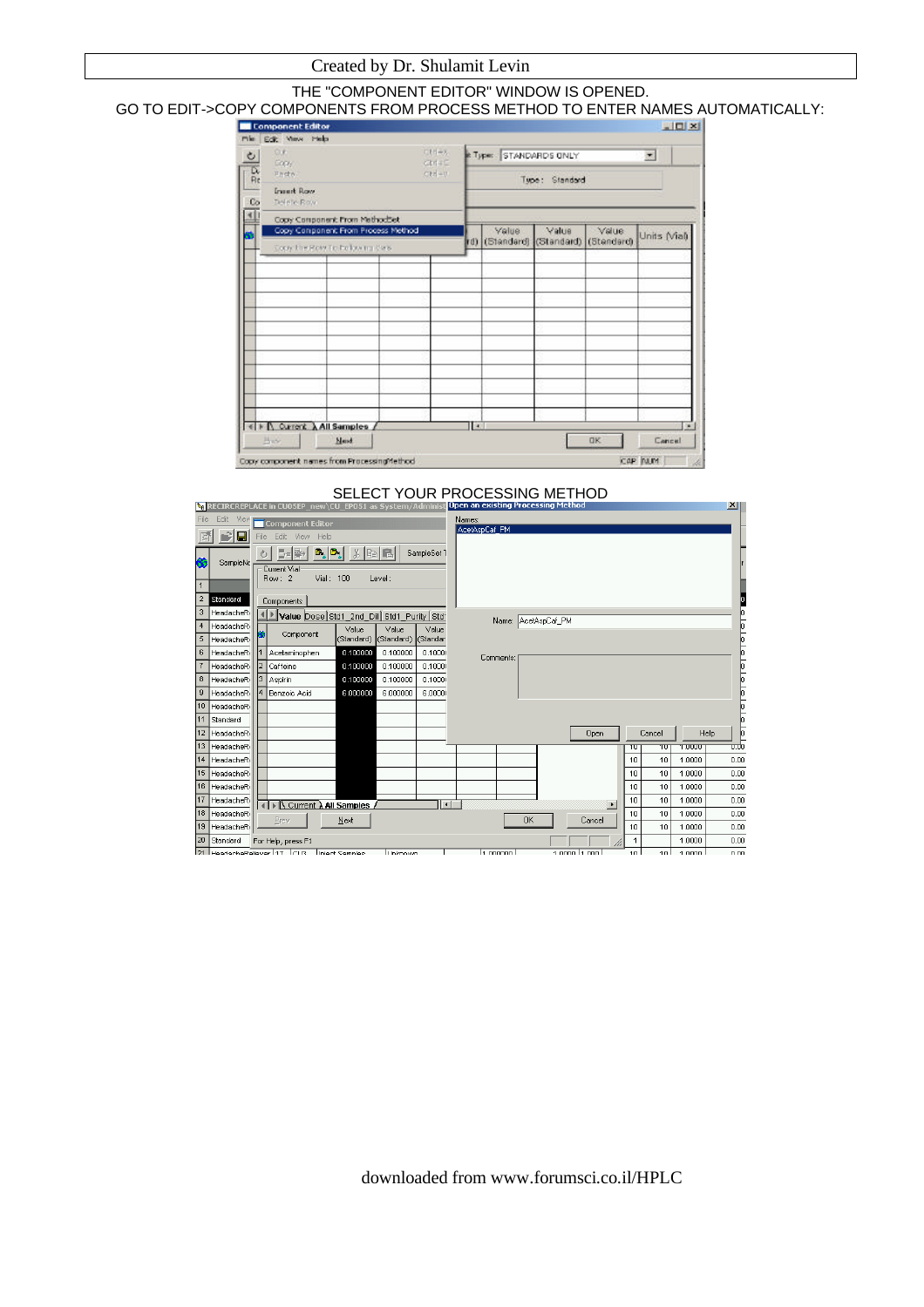#### Created by Dr. Shulamit Levin

#### THE "COMPONENT EDITOR" WINDOW IS OPENED. GO TO EDIT->COPY COMPONENTS FROM PROCESS METHOD TO ENTER NAMES AUTOMATICALLY:

| O.K.<br>Copy:                                                                                     | にいしゃ<br>CHACE |   | <b>E Type: STANDARDS ONLY</b> |                     |                     | $\overline{\mathbf{z}}$ |
|---------------------------------------------------------------------------------------------------|---------------|---|-------------------------------|---------------------|---------------------|-------------------------|
| $\frac{D}{R}$<br><b>Photo</b><br><b>Insurt Row</b><br>C <sub>o</sub><br>Delete Row                | ctri-n        |   |                               | Type: Standard      |                     |                         |
| Copy Component From MethodSet<br>Copy Component From Process Method<br>Conche Row To Polovim Cas. |               |   | Value<br>d) (Standard)        | Value<br>(Standard) | Value<br>(Standard) | Units Mall              |
|                                                                                                   |               |   |                               |                     |                     |                         |
|                                                                                                   |               |   |                               |                     |                     |                         |
|                                                                                                   |               |   |                               |                     |                     |                         |
|                                                                                                   |               |   |                               |                     |                     |                         |
|                                                                                                   |               |   |                               |                     |                     |                         |
|                                                                                                   |               |   |                               |                     |                     |                         |
|                                                                                                   |               |   |                               |                     |                     |                         |
| E F A Current A All Samples                                                                       |               | H |                               |                     |                     | $\mathbf{u}$            |

#### SELECT YOUR PROCESSING METHOD

|      |                     |      | VI KELIKLKEPLALE III LUUJEP_IIEW\LU_EPUJI dS 3YSLEIII/ AUIIIIIIISL           |                                 |                     |                     |        | popen an existing in occssing method |           |                     |                     |      |                 |               | m    |  |
|------|---------------------|------|------------------------------------------------------------------------------|---------------------------------|---------------------|---------------------|--------|--------------------------------------|-----------|---------------------|---------------------|------|-----------------|---------------|------|--|
| File | Edit<br>View        |      | Component Editor                                                             |                                 |                     |                     | Names: |                                      |           |                     |                     |      |                 |               |      |  |
|      | ÷<br>$\blacksquare$ | File | Edit View Help                                                               |                                 |                     |                     |        | AcetAspCaf PM                        |           |                     |                     |      |                 |               |      |  |
|      | SampleNa            |      | $B_{\rm s} B_{\rm s} $<br>[54]라<br>ΦI<br>Current Vial<br>Vial: 100<br>Row: 2 | $\mathcal{X}$ to $\blacksquare$ | Level:              | SampleSet 1         |        |                                      |           |                     |                     |      |                 |               |      |  |
| 1    |                     |      |                                                                              |                                 |                     |                     |        |                                      |           |                     |                     |      |                 |               |      |  |
|      | Standard            |      | Components                                                                   |                                 |                     |                     |        |                                      |           |                     |                     |      |                 |               |      |  |
| 3    | HeadacheRi          |      | Value Dose Std1_2nd_Dil Std1_Purity Std'                                     |                                 |                     |                     |        |                                      |           | Name: AcetAspCaf_PM |                     |      |                 |               |      |  |
| 4    | HeadacheRi          |      |                                                                              | Value                           | Value               | Value               |        |                                      |           |                     |                     |      |                 |               |      |  |
| 5    | HeadacheRi          |      | Component                                                                    | (Standard)                      | (Standard) (Standar |                     |        |                                      |           |                     |                     |      |                 |               |      |  |
| 6    | HeadacheRi          |      | Acetaminophen                                                                | 0.100000                        | 0.100000            | 0.1000              |        | Comments:                            |           |                     |                     |      |                 |               |      |  |
|      | HeadacheRi          |      | Caffeine                                                                     | 0.100000                        | 0.100000            | 0.1000              |        |                                      |           |                     |                     |      |                 |               |      |  |
| 8    | HeadacheRi          | 13 I | Aspirin                                                                      | 0.100000                        | 0.100000            | 0.1000              |        |                                      |           |                     |                     |      |                 |               |      |  |
| 9    | HeadacheRi          |      | Benzoic Acid                                                                 | 6.000000                        | 6.000000            | 6,0000              |        |                                      |           |                     |                     |      |                 |               |      |  |
| 10   | HeadacheRi          |      |                                                                              |                                 |                     |                     |        |                                      |           |                     |                     |      |                 |               |      |  |
| 11   | Standard            |      |                                                                              |                                 |                     |                     |        |                                      |           |                     |                     |      |                 |               |      |  |
| 12   | HeadacheRi          |      |                                                                              |                                 |                     |                     |        |                                      |           |                     | Open                |      | Cancel          |               | Help |  |
| 13   | HeadacheRi          |      |                                                                              |                                 |                     |                     |        |                                      |           |                     |                     | ᠊᠋᠋᠊ | ᠇ᠳ              | <b>T.UUUU</b> | ᠊ᡂ   |  |
| 14   | HeadacheRi          |      |                                                                              |                                 |                     |                     |        |                                      |           |                     |                     | 10   | 10              | 1.0000        | 0.00 |  |
| 15   | HeadacheRi          |      |                                                                              |                                 |                     |                     |        |                                      |           |                     |                     | 10   | 10              | 1.0000        | 0.00 |  |
| 16   | HeadacheRi          |      |                                                                              |                                 |                     |                     |        |                                      |           |                     |                     | 10   | 10              | 1.0000        | 0.00 |  |
| 17   | HeadacheRi          |      | $\Lambda$ Current $\lambda$ All Samples                                      |                                 |                     | $\vert \cdot \vert$ |        |                                      |           |                     | $\vert \cdot \vert$ | 10   | 10              | 1.0000        | 0.00 |  |
| 18   | HeadacheRi          |      |                                                                              |                                 |                     |                     |        |                                      |           |                     |                     | 10   | 10              | 1,0000        | 0.00 |  |
| 19   | HeadacheRi          |      | Prev                                                                         | Next                            |                     |                     |        |                                      | <b>OK</b> |                     | Cancel              | 10   | 10              | 1.0000        | 0.00 |  |
| 20   | Standard            |      | For Help, press F1                                                           |                                 |                     |                     |        |                                      |           |                     |                     |      |                 | 1.0000        | 0.00 |  |
| 21   |                     |      | HeadacheReliever 17 (CLI3   Inject Cennies                                   |                                 | Linknown            |                     |        | 14.000000                            |           |                     | 1.000011.0001       | 10 I | 10 <sub>1</sub> | 1.0000        | 0.00 |  |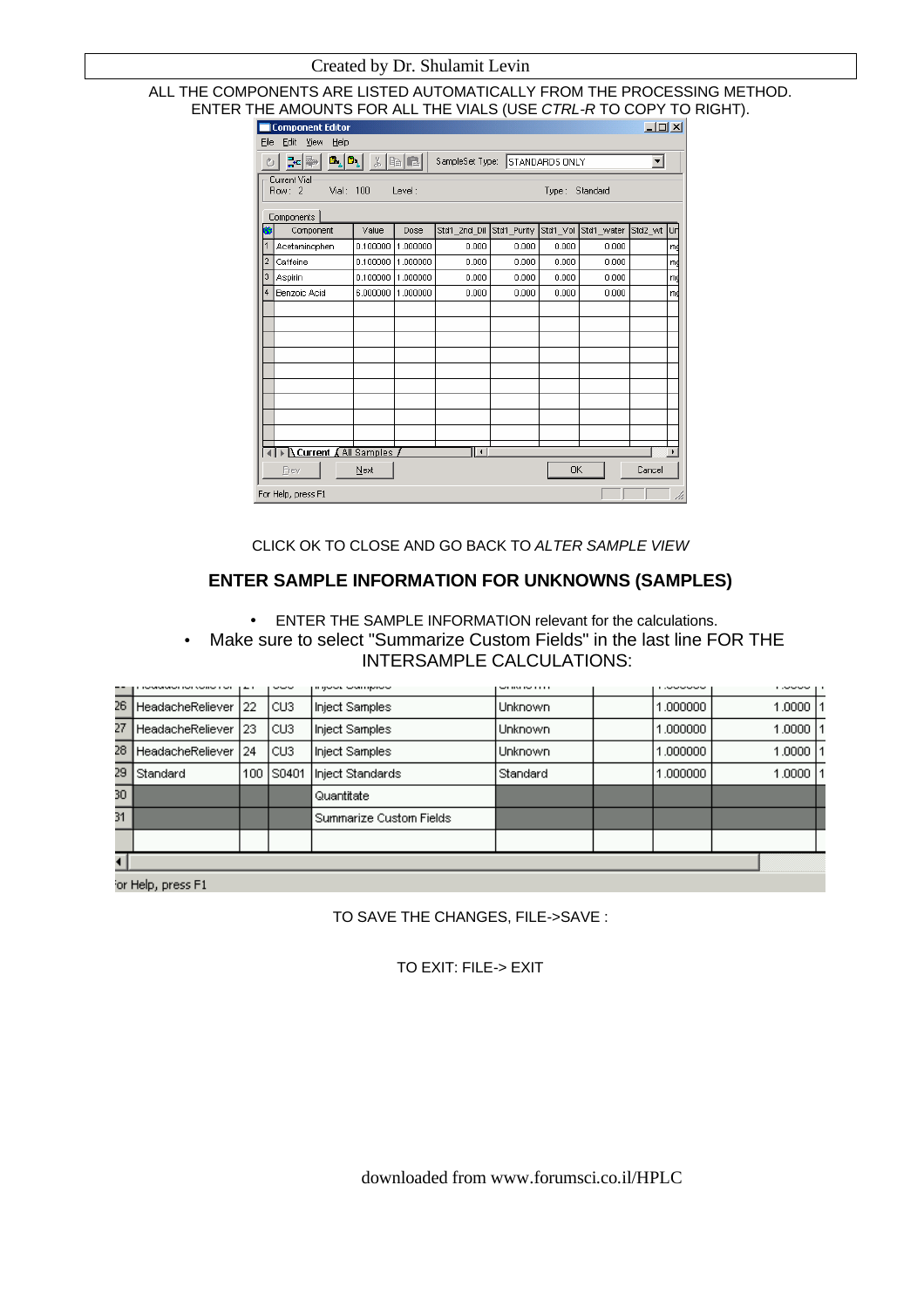#### ALL THE COMPONENTS ARE LISTED AUTOMATICALLY FROM THE PROCESSING METHOD. ENTER THE AMOUNTS FOR ALL THE VIALS (USE *CTRL-R* TO COPY TO RIGHT).

|      | <b>Component Editor</b>                 |                                         |          |                                |             |          |            | $\Box$ D $\times$ |    |
|------|-----------------------------------------|-----------------------------------------|----------|--------------------------------|-------------|----------|------------|-------------------|----|
| Eile | Edit<br>View<br>Help                    |                                         |          |                                |             |          |            |                   |    |
| Ò    | 라-                                      | $\mathbf{B}_s[\mathbf{D}_s]$ , is equal |          | SampleSet Type: STANDARDS ONLY |             |          |            | ▾╎                |    |
|      | Current Vial<br>Vial: 100<br>Row: 2     |                                         | Level:   |                                |             | Type:    | Standard   |                   |    |
|      | Components                              |                                         |          |                                |             |          |            |                   |    |
| ĸ    | Component                               | Value                                   | Dose     | Std1_2nd_Dil                   | Std1_Purity | Std1_Vol | Std1_water | Std2_wt           | Ur |
| 1    | Acetaminophen                           | 0.100000                                | 1.000000 | 0.000                          | 0.000       | 0.000    | 0.000      |                   | mg |
| 2    | Caffeine                                | 0.100000                                | 1.000000 | 0.000                          | 0.000       | 0.000    | 0.000      |                   | m  |
| 3    | Aspirin                                 | 0.100000                                | 1.000000 | 0.000                          | 0.000       | 0.000    | 0.000      |                   | m  |
| 4    | <b>Benzoic Acid</b>                     | 6.000000                                | 1.000000 | 0.000                          | 0.000       | 0.000    | 0.000      |                   | m  |
|      |                                         |                                         |          |                                |             |          |            |                   |    |
|      |                                         |                                         |          |                                |             |          |            |                   |    |
|      |                                         |                                         |          |                                |             |          |            |                   |    |
|      |                                         |                                         |          |                                |             |          |            |                   |    |
|      |                                         |                                         |          |                                |             |          |            |                   |    |
|      |                                         |                                         |          |                                |             |          |            |                   |    |
|      |                                         |                                         |          |                                |             |          |            |                   |    |
|      |                                         |                                         |          |                                |             |          |            |                   |    |
|      |                                         |                                         |          |                                |             |          |            |                   |    |
|      | $\Lambda$ Current $\Lambda$ All Samples |                                         |          | ∣∣∢∣                           |             |          |            |                   |    |
|      | Prev                                    | Next                                    |          |                                |             | 0K       |            | Cancel            |    |
|      | For Help, press F1                      |                                         |          |                                |             |          |            |                   | h, |

CLICK OK TO CLOSE AND GO BACK TO *ALTER SAMPLE VIEW*

## **ENTER SAMPLE INFORMATION FOR UNKNOWNS (SAMPLES)**

- ENTER THE SAMPLE INFORMATION relevant for the calculations.
- Make sure to select "Summarize Custom Fields" in the last line FOR THE INTERSAMPLE CALCULATIONS:

|     | www.www.community.com   | $\cdots$ | ---   | in gwwy wyn gynww       | $-$ and the state. | -------  | <b>LOW STATE STATE</b> |  |
|-----|-------------------------|----------|-------|-------------------------|--------------------|----------|------------------------|--|
| 26. | HeadacheReliever        | 122      | ICU3. | Inject Samples          | Unknown            | 1.000000 | 1.0000 11              |  |
| 27  | <b>HeadacheReliever</b> | 23       | ICU3. | Inject Samples          | Unknown            | 1.000000 | 1.0000                 |  |
| 28  | <b>HeadacheReliever</b> | 24       | lcus. | Inject Samples          | Unknown            | 1.000000 | 1.0000                 |  |
| 29  | Standard                | 100      | S0401 | Inject Standards        | Standard           | 1.000000 | 1.0000                 |  |
| 30  |                         |          |       | l Quantitate            |                    |          |                        |  |
| 31  |                         |          |       | Summarize Custom Fields |                    |          |                        |  |
|     |                         |          |       |                         |                    |          |                        |  |
|     |                         |          |       |                         |                    |          |                        |  |

or Help, press F1

TO SAVE THE CHANGES, FILE->SAVE :

TO EXIT: FILE-> EXIT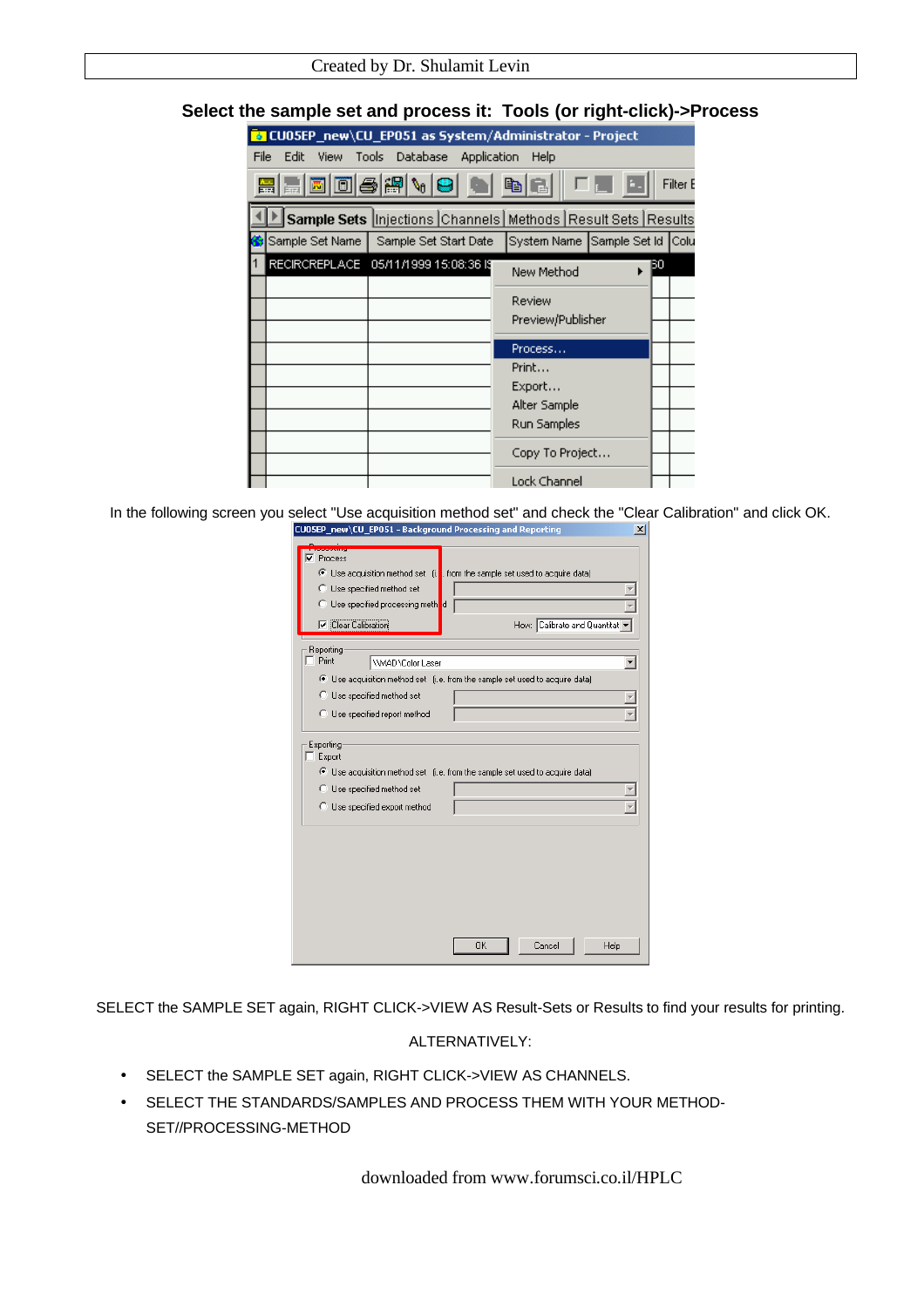| Created by Dr. Shulamit Levin |  |  |  |  |  |  |
|-------------------------------|--|--|--|--|--|--|
|-------------------------------|--|--|--|--|--|--|

## **Select the sample set and process it: Tools (or right-click)->Process**

|             |                 | <b>2</b> CU05EP_new\CU_EP051 as System/Administrator - Project      |                                |    |          |
|-------------|-----------------|---------------------------------------------------------------------|--------------------------------|----|----------|
| <b>File</b> | Edit            | View Tools Database Application                                     | Help                           |    |          |
|             |                 | B B D 0 4 4 4 5 6 6 6                                               |                                |    | Filter B |
|             |                 | Sample Sets  Injections  Channels   Methods   Result Sets   Results |                                |    |          |
|             | Sample Set Name | Sample Set Start Date                                               | System Name Sample Set Id Colu |    |          |
|             |                 |                                                                     | New Method                     | BО |          |
|             |                 |                                                                     | Review                         |    |          |
|             |                 |                                                                     | Preview/Publisher              |    |          |
|             |                 |                                                                     |                                |    |          |
|             |                 |                                                                     | Process                        |    |          |
|             |                 |                                                                     | Print                          |    |          |
|             |                 |                                                                     | Export<br>Alter Sample         |    |          |
|             |                 |                                                                     |                                |    |          |
|             |                 |                                                                     | Run Samples                    |    |          |
|             |                 |                                                                     | Copy To Project                |    |          |
|             |                 |                                                                     | <b>Lock Channel</b>            |    |          |

In the following screen you select "Use acquisition method set" and check the "Clear Calibration" and click OK.

| <b>OCCUPATION</b><br>⊽<br>Process<br>C Use specified method set<br>◯ Use specified processing method<br>Clear Calibration | <b>C</b> Use acquisition method set (i.   from the sample set used to acquire data)<br>How: Calibrate and Quantitat |
|---------------------------------------------------------------------------------------------------------------------------|---------------------------------------------------------------------------------------------------------------------|
| Reporting                                                                                                                 |                                                                                                                     |
| Print<br><b>\\MAD\Color Laser</b>                                                                                         |                                                                                                                     |
|                                                                                                                           | C Use acquisition method set (i.e. from the sample set used to acquire data)                                        |
| C Use specified method set                                                                                                |                                                                                                                     |
|                                                                                                                           |                                                                                                                     |
| C Use specified report method                                                                                             |                                                                                                                     |
| Exporting:<br>Export<br>C Use specified method set                                                                        | ⊙ Use acquisition method set (i.e. from the sample set used to acquire data)                                        |
| C Use specified export method                                                                                             |                                                                                                                     |
|                                                                                                                           | OK<br>Cancel<br>Help                                                                                                |

SELECT the SAMPLE SET again, RIGHT CLICK->VIEW AS Result-Sets or Results to find your results for printing.

## ALTERNATIVELY:

- SELECT the SAMPLE SET again, RIGHT CLICK->VIEW AS CHANNELS.
- SELECT THE STANDARDS/SAMPLES AND PROCESS THEM WITH YOUR METHOD-SET//PROCESSING-METHOD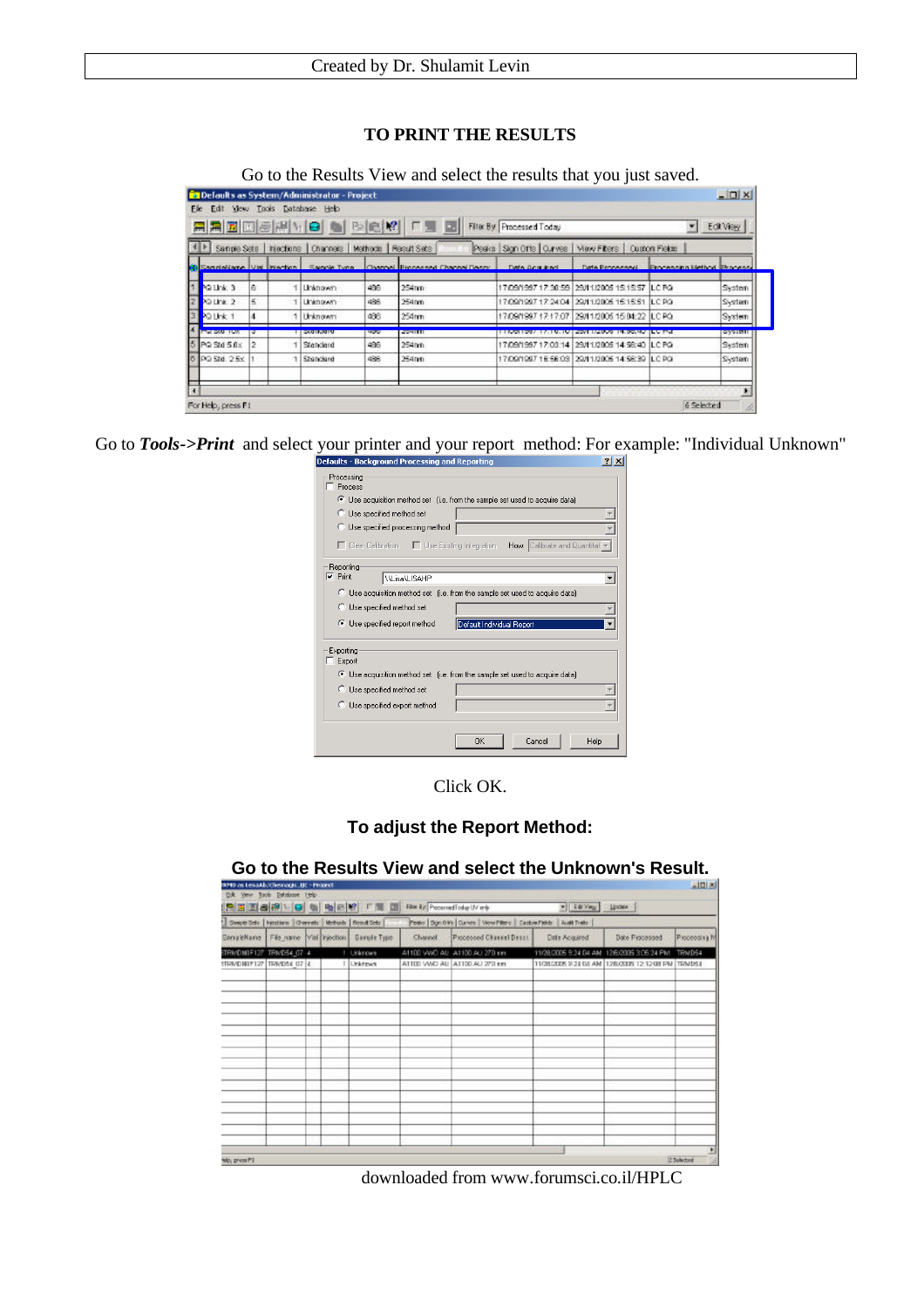# **TO PRINT THE RESULTS**

Go to the Results View and select the results that you just saved.

|                     |                | <b>AABBAHID &amp; BCK</b>                                  |     | 「三 記                                                                             | Filter By: Processed Today                              |                                                | ٠                                        | Edit View |
|---------------------|----------------|------------------------------------------------------------|-----|----------------------------------------------------------------------------------|---------------------------------------------------------|------------------------------------------------|------------------------------------------|-----------|
|                     |                | Sengie Sets   hiections   Channels   Methods   Result Sets |     |                                                                                  | Peaks Sign Offs   Curves   View Filters   Custom Fields |                                                |                                          |           |
|                     |                |                                                            |     | Sandellane Via Injection Sande Type Channel Proposed Channel Descy Date Boguines |                                                         |                                                | Date Processed Processing Method Process |           |
| PO Link: 3          | lē             | Linknown                                                   | 496 | 254nm                                                                            |                                                         | 17/09/1997 17:30:59 29/11/2006 15:15:57 ILC PQ |                                          | System    |
| PO Link 2           | ς.             | Linknown.                                                  | 486 | 254nm                                                                            |                                                         | 17/09/1997 17:24:04 29/11/2005 15:15:51 LC RG  |                                          | System    |
| PO Unk 1            | l4             | 1 Unknown                                                  | 436 | 254 <sub>nm</sub>                                                                |                                                         | 17/09/1997 17:17:07 29/11/2005 15:04:22 ILC PO |                                          | System    |
| <b>Intel DWATOW</b> |                | <b>EXAMPLEMENT</b>                                         | 400 | <b>AVAILITY</b>                                                                  | <b>MERCHANDEL MARKET</b>                                | 2001 TRABAT IN ROOM OF LEATING                 |                                          | ayonn     |
| PQ Std 5.0x         | $\overline{2}$ | Standard                                                   | 496 | 254nm                                                                            |                                                         | 17/09/1997 17:03:14 29/11/2005 14:56:40 ILC PO |                                          | System    |
| PG 5td, 2.5x        |                | Standard                                                   | 486 | 254nm                                                                            |                                                         | 17/09/1997 18:56:03 29/11/2005 14:58:39 ILC PG |                                          | System    |

Go to *Tools->Print* and select your printer and your report method: For example: "Individual Unknown"

| etaults - Background Processing and Reporting                                                                        |      |
|----------------------------------------------------------------------------------------------------------------------|------|
| Processing<br>Process                                                                                                |      |
| C Use acquisition method set (i.e. from the sample set used to acquire data)                                         |      |
| C Use specified method set                                                                                           |      |
| C Use specified processing method                                                                                    |      |
| $\Box$ Clear Calibration $\Box$ Use Existing Integration<br><b>How:</b> Calibrate and Quantitat $\blacktriangledown$ |      |
| Reporting                                                                                                            |      |
| $\nabla$ Print<br>\\Lisa\LISAHP                                                                                      |      |
| C Use acquisition method set (i.e. from the sample set used to acquire data)                                         |      |
| Use specified method set<br>C.                                                                                       |      |
| Default Individual Report<br>Use specified report method                                                             |      |
| Exporting<br>Export                                                                                                  |      |
| C Use acquisition method set (i.e. from the sample set used to acquire data)                                         |      |
| C Use specified method set                                                                                           |      |
| Use specified export method<br>C.                                                                                    |      |
| OK<br>Cancel                                                                                                         | Help |

Click OK.

**To adjust the Report Method:**

| <b>IPD as Lexada/Chemaps, DE - Project</b><br>Ock Year Tools Estatione Help |  |                                                |                                    |                                                                     |                                                       |                | X            |
|-----------------------------------------------------------------------------|--|------------------------------------------------|------------------------------------|---------------------------------------------------------------------|-------------------------------------------------------|----------------|--------------|
|                                                                             |  | 只有国家的 日 电电阻 「 国 国                              | Filte ity: Processed Foday UV mly- |                                                                     | * Edring Lichts                                       |                |              |
| Sweet Solo   Inculture   Changle   Motherly   Road Solo                     |  |                                                |                                    | Posto Don 0 Ws   Curves   Wow Pillero   Castos Pieleh   Audit Trate |                                                       |                |              |
|                                                                             |  | Sanalekane File name Wal Injection Sanale Type | Channel                            | Piccessed Channel Deart                                             | Date Acquired                                         | Date Piccassed | Pioceopina M |
| TRWDN0F127. TRN054_07 4                                                     |  | ! Unknown                                      |                                    | A1100 VWO AU A1100 AU 270 sm                                        | 11/28/2005 9:24 04 AM 12/6/2005 3:05:24 PM TRN 054    |                |              |
| STRAVE NOP127 TRAVERS O7 14                                                 |  | 1 Linkmown                                     |                                    | A1100 VWO AU A1100 AU 270 nm                                        | 11/28/2006 9:21:03 AM 12/0/2006 12:12:08 PM 11/2MDS 6 |                |              |
|                                                                             |  |                                                |                                    |                                                                     |                                                       |                |              |
|                                                                             |  |                                                |                                    |                                                                     |                                                       |                |              |
|                                                                             |  |                                                |                                    |                                                                     |                                                       |                |              |
|                                                                             |  |                                                |                                    |                                                                     |                                                       |                |              |
|                                                                             |  |                                                |                                    |                                                                     |                                                       |                |              |
|                                                                             |  |                                                |                                    |                                                                     |                                                       |                |              |
|                                                                             |  |                                                |                                    |                                                                     |                                                       |                |              |
|                                                                             |  |                                                |                                    |                                                                     |                                                       |                |              |
|                                                                             |  |                                                |                                    |                                                                     |                                                       |                |              |
|                                                                             |  |                                                |                                    |                                                                     |                                                       |                |              |
|                                                                             |  |                                                |                                    |                                                                     |                                                       |                |              |
|                                                                             |  |                                                |                                    |                                                                     |                                                       |                |              |
|                                                                             |  |                                                |                                    |                                                                     |                                                       |                |              |
| lo, press PI                                                                |  |                                                |                                    |                                                                     |                                                       |                | 2 Solarbod   |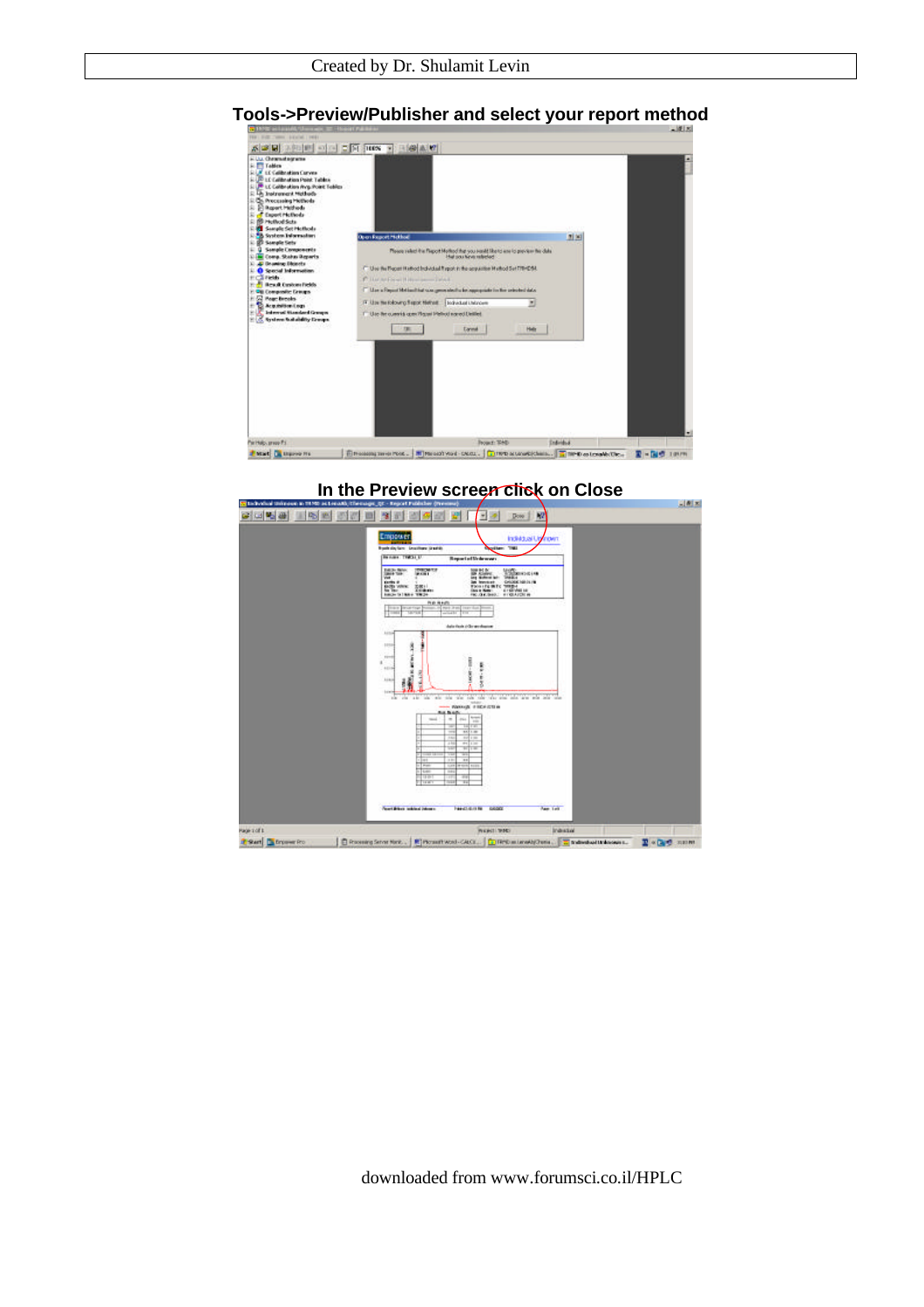#### $\frac{\mathcal{S}[\mathcal{B}][\mathcal{B}]\times [0,|\mathcal{B}|]}{\mathcal{S}[\mathcal{B}]} \geq \frac{|\mathcal{S}|}{|\mathcal{S}|} \geq \frac{|\mathcal{S}|}{|\mathcal{S}|} \geq \frac{|\mathcal{S}[\mathcal{B}][\mathcal{B}][\mathcal{B}]}{\mathcal{S}[\mathcal{B}][\mathcal{B}][\mathcal{B}]}$ **Life Life (1988)**<br>Trailers (Cambridge Cambridge Cambridge Cambridge Cambridge Cambridge Cambridge Cambridge Cambridge Cambridge<br> **Cambridge Cambridge Cambridge Cambridge Cambridge Cambridge Cambridge Cambridge Cambridge C** ä **also** Please relet the Report Mothed that you inside like to are to preview the data - Use the Report Hathod Individual Report in the sequenties Mathod Set 778-054. of Methanithing was generated to be agreement Use the following filippic filished ... [ Exchanged Linkscore R s am Rawl and Lesler  $\frac{1}{2} \left( \frac{1}{2} \frac{1}{2} \frac{1}{2} \right) = \frac{1}{2} \left( \frac{1}{2} \frac{1}{2} \right)$  $_{\rm{form}}$ He | Partials area Pr **Excel Giovenni**  $\frac{1}{2}$  Ensures more that . Note that you can be a constituent . There are constituent . The constant of  $\mathbb{R}$  =  $\mathbb{R}$  of the state

# **Tools->Preview/Publisher and select your report method**